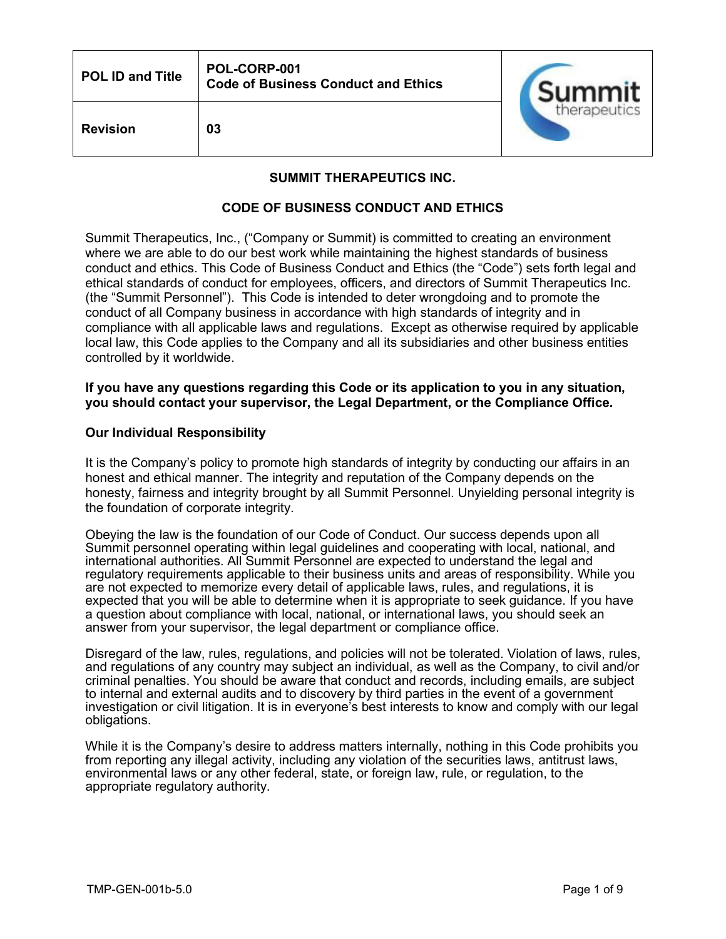| <b>POL ID and Title</b> | POL-CORP-001<br><b>Code of Business Conduct and Ethics</b> | Summit       |
|-------------------------|------------------------------------------------------------|--------------|
| <b>Revision</b>         | 03                                                         | therapeutics |

## **SUMMIT THERAPEUTICS INC.**

## **CODE OF BUSINESS CONDUCT AND ETHICS**

Summit Therapeutics, Inc., ("Company or Summit) is committed to creating an environment where we are able to do our best work while maintaining the highest standards of business conduct and ethics. This Code of Business Conduct and Ethics (the "Code") sets forth legal and ethical standards of conduct for employees, officers, and directors of Summit Therapeutics Inc. (the "Summit Personnel"). This Code is intended to deter wrongdoing and to promote the conduct of all Company business in accordance with high standards of integrity and in compliance with all applicable laws and regulations. Except as otherwise required by applicable local law, this Code applies to the Company and all its subsidiaries and other business entities controlled by it worldwide.

## **If you have any questions regarding this Code or its application to you in any situation, you should contact your supervisor, the Legal Department, or the Compliance Office.**

### **Our Individual Responsibility**

It is the Company's policy to promote high standards of integrity by conducting our affairs in an honest and ethical manner. The integrity and reputation of the Company depends on the honesty, fairness and integrity brought by all Summit Personnel. Unyielding personal integrity is the foundation of corporate integrity.

Obeying the law is the foundation of our Code of Conduct. Our success depends upon all Summit personnel operating within legal guidelines and cooperating with local, national, and international authorities. All Summit Personnel are expected to understand the legal and regulatory requirements applicable to their business units and areas of responsibility. While you are not expected to memorize every detail of applicable laws, rules, and regulations, it is expected that you will be able to determine when it is appropriate to seek guidance. If you have a question about compliance with local, national, or international laws, you should seek an answer from your supervisor, the legal department or compliance office.

Disregard of the law, rules, regulations, and policies will not be tolerated. Violation of laws, rules, and regulations of any country may subject an individual, as well as the Company, to civil and/or criminal penalties. You should be aware that conduct and records, including emails, are subject to internal and external audits and to discovery by third parties in the event of a government investigation or civil litigation. It is in everyone's best interests to know and comply with our legal obligations.

While it is the Company's desire to address matters internally, nothing in this Code prohibits you from reporting any illegal activity, including any violation of the securities laws, antitrust laws, environmental laws or any other federal, state, or foreign law, rule, or regulation, to the appropriate regulatory authority.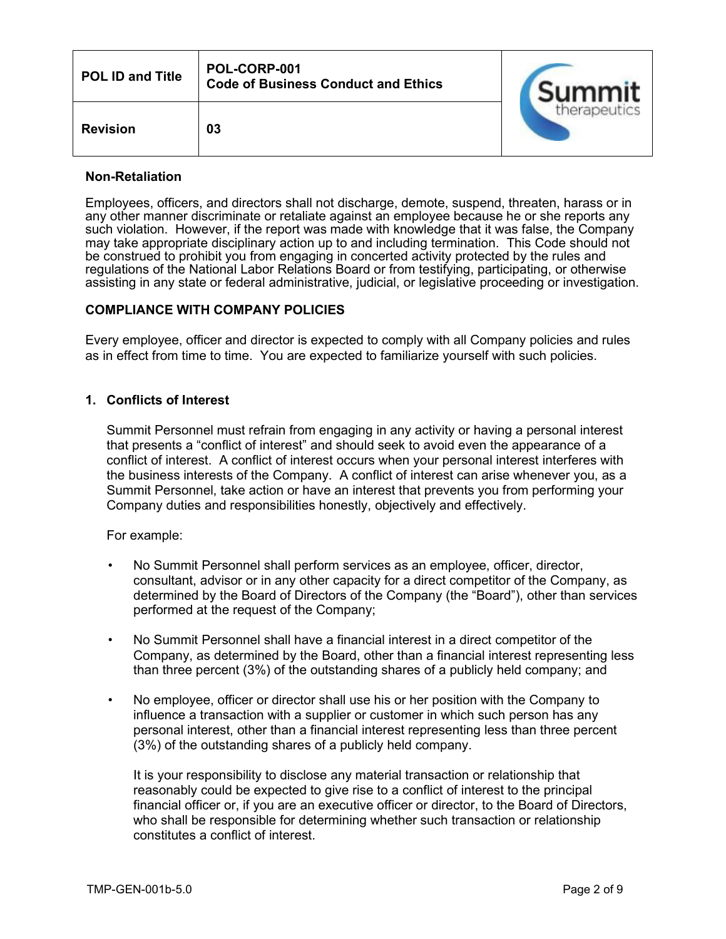| <b>POL ID and Title</b> | POL-CORP-001<br><b>Code of Business Conduct and Ethics</b> | Summit       |
|-------------------------|------------------------------------------------------------|--------------|
| <b>Revision</b>         | 03                                                         | therapeutics |

## **Non-Retaliation**

Employees, officers, and directors shall not discharge, demote, suspend, threaten, harass or in any other manner discriminate or retaliate against an employee because he or she reports any such violation. However, if the report was made with knowledge that it was false, the Company may take appropriate disciplinary action up to and including termination. This Code should not be construed to prohibit you from engaging in concerted activity protected by the rules and regulations of the National Labor Relations Board or from testifying, participating, or otherwise assisting in any state or federal administrative, judicial, or legislative proceeding or investigation.

## **COMPLIANCE WITH COMPANY POLICIES**

Every employee, officer and director is expected to comply with all Company policies and rules as in effect from time to time. You are expected to familiarize yourself with such policies.

## **1. Conflicts of Interest**

Summit Personnel must refrain from engaging in any activity or having a personal interest that presents a "conflict of interest" and should seek to avoid even the appearance of a conflict of interest. A conflict of interest occurs when your personal interest interferes with the business interests of the Company. A conflict of interest can arise whenever you, as a Summit Personnel, take action or have an interest that prevents you from performing your Company duties and responsibilities honestly, objectively and effectively.

For example:

- No Summit Personnel shall perform services as an employee, officer, director, consultant, advisor or in any other capacity for a direct competitor of the Company, as determined by the Board of Directors of the Company (the "Board"), other than services performed at the request of the Company;
- No Summit Personnel shall have a financial interest in a direct competitor of the Company, as determined by the Board, other than a financial interest representing less than three percent (3%) of the outstanding shares of a publicly held company; and
- No employee, officer or director shall use his or her position with the Company to influence a transaction with a supplier or customer in which such person has any personal interest, other than a financial interest representing less than three percent (3%) of the outstanding shares of a publicly held company.

It is your responsibility to disclose any material transaction or relationship that reasonably could be expected to give rise to a conflict of interest to the principal financial officer or, if you are an executive officer or director, to the Board of Directors, who shall be responsible for determining whether such transaction or relationship constitutes a conflict of interest.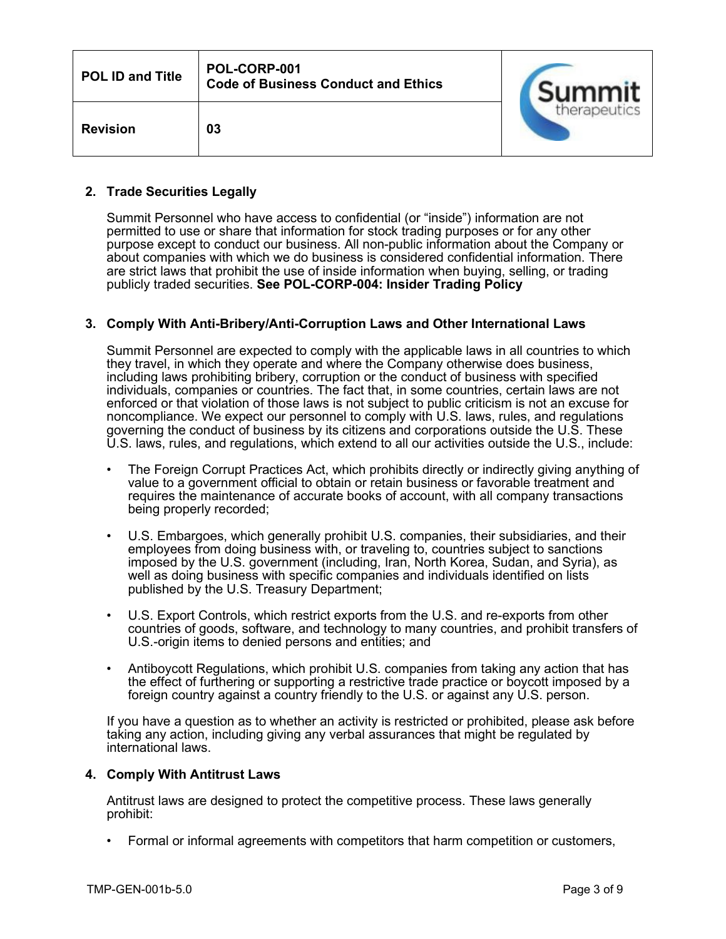| <b>POL ID and Title</b> | POL-CORP-001<br><b>Code of Business Conduct and Ethics</b> | Summit       |
|-------------------------|------------------------------------------------------------|--------------|
| <b>Revision</b>         | 03                                                         | therapeutics |

## **2. Trade Securities Legally**

Summit Personnel who have access to confidential (or "inside") information are not permitted to use or share that information for stock trading purposes or for any other purpose except to conduct our business. All non-public information about the Company or about companies with which we do business is considered confidential information. There are strict laws that prohibit the use of inside information when buying, selling, or trading publicly traded securities. **See POL-CORP-004: Insider Trading Policy**

## **3. Comply With Anti-Bribery/Anti-Corruption Laws and Other International Laws**

Summit Personnel are expected to comply with the applicable laws in all countries to which they travel, in which they operate and where the Company otherwise does business, including laws prohibiting bribery, corruption or the conduct of business with specified individuals, companies or countries. The fact that, in some countries, certain laws are not enforced or that violation of those laws is not subject to public criticism is not an excuse for noncompliance. We expect our personnel to comply with U.S. laws, rules, and regulations governing the conduct of business by its citizens and corporations outside the U.S. These U.S. laws, rules, and regulations, which extend to all our activities outside the U.S., include:

- The Foreign Corrupt Practices Act, which prohibits directly or indirectly giving anything of value to a government official to obtain or retain business or favorable treatment and requires the maintenance of accurate books of account, with all company transactions being properly recorded;
- U.S. Embargoes, which generally prohibit U.S. companies, their subsidiaries, and their employees from doing business with, or traveling to, countries subject to sanctions imposed by the U.S. government (including, Iran, North Korea, Sudan, and Syria), as well as doing business with specific companies and individuals identified on lists published by the U.S. Treasury Department;
- U.S. Export Controls, which restrict exports from the U.S. and re-exports from other countries of goods, software, and technology to many countries, and prohibit transfers of U.S.-origin items to denied persons and entities; and
- Antiboycott Regulations, which prohibit U.S. companies from taking any action that has the effect of furthering or supporting a restrictive trade practice or boycott imposed by a foreign country against a country friendly to the U.S. or against any U.S. person.

If you have a question as to whether an activity is restricted or prohibited, please ask before taking any action, including giving any verbal assurances that might be regulated by international laws.

## **4. Comply With Antitrust Laws**

Antitrust laws are designed to protect the competitive process. These laws generally prohibit:

• Formal or informal agreements with competitors that harm competition or customers,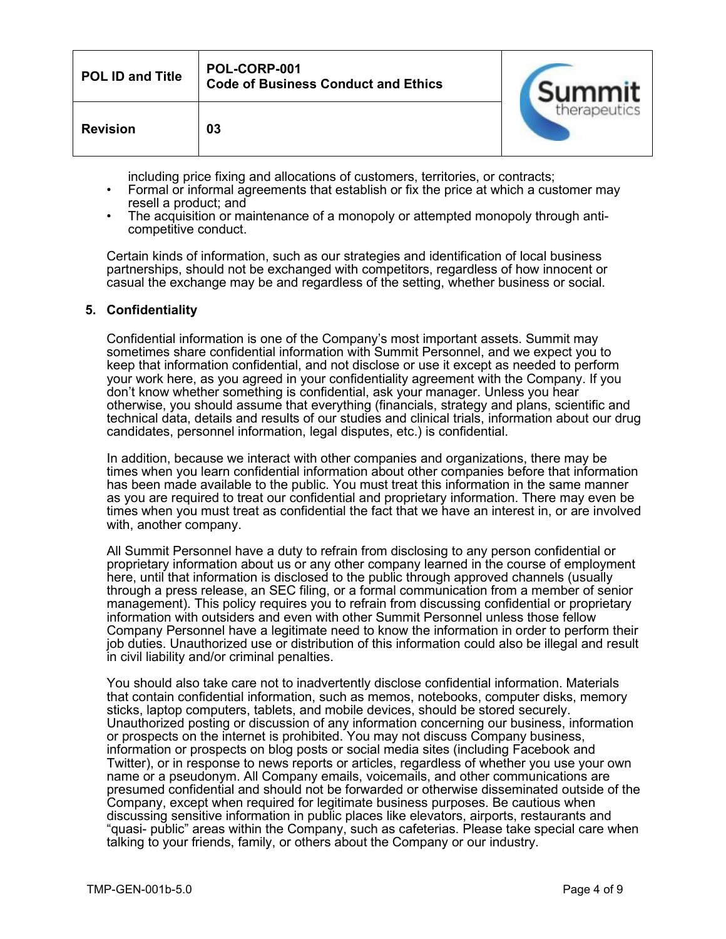| <b>POL ID and Title</b> | POL-CORP-001<br><b>Code of Business Conduct and Ethics</b> | Summit       |
|-------------------------|------------------------------------------------------------|--------------|
| <b>Revision</b>         | 03                                                         | therapeutics |

including price fixing and allocations of customers, territories, or contracts;

- Formal or informal agreements that establish or fix the price at which a customer may resell a product; and
- The acquisition or maintenance of a monopoly or attempted monopoly through anticompetitive conduct.

Certain kinds of information, such as our strategies and identification of local business partnerships, should not be exchanged with competitors, regardless of how innocent or casual the exchange may be and regardless of the setting, whether business or social.

## **5. Confidentiality**

Confidential information is one of the Company's most important assets. Summit may sometimes share confidential information with Summit Personnel, and we expect you to keep that information confidential, and not disclose or use it except as needed to perform your work here, as you agreed in your confidentiality agreement with the Company. If you don't know whether something is confidential, ask your manager. Unless you hear otherwise, you should assume that everything (financials, strategy and plans, scientific and technical data, details and results of our studies and clinical trials, information about our drug candidates, personnel information, legal disputes, etc.) is confidential.

In addition, because we interact with other companies and organizations, there may be times when you learn confidential information about other companies before that information has been made available to the public. You must treat this information in the same manner as you are required to treat our confidential and proprietary information. There may even be times when you must treat as confidential the fact that we have an interest in, or are involved with, another company.

All Summit Personnel have a duty to refrain from disclosing to any person confidential or proprietary information about us or any other company learned in the course of employment here, until that information is disclosed to the public through approved channels (usually through a press release, an SEC filing, or a formal communication from a member of senior management). This policy requires you to refrain from discussing confidential or proprietary information with outsiders and even with other Summit Personnel unless those fellow Company Personnel have a legitimate need to know the information in order to perform their job duties. Unauthorized use or distribution of this information could also be illegal and result in civil liability and/or criminal penalties.

You should also take care not to inadvertently disclose confidential information. Materials that contain confidential information, such as memos, notebooks, computer disks, memory sticks, laptop computers, tablets, and mobile devices, should be stored securely. Unauthorized posting or discussion of any information concerning our business, information or prospects on the internet is prohibited. You may not discuss Company business, information or prospects on blog posts or social media sites (including Facebook and Twitter), or in response to news reports or articles, regardless of whether you use your own name or a pseudonym. All Company emails, voicemails, and other communications are presumed confidential and should not be forwarded or otherwise disseminated outside of the Company, except when required for legitimate business purposes. Be cautious when discussing sensitive information in public places like elevators, airports, restaurants and "quasi- public" areas within the Company, such as cafeterias. Please take special care when talking to your friends, family, or others about the Company or our industry.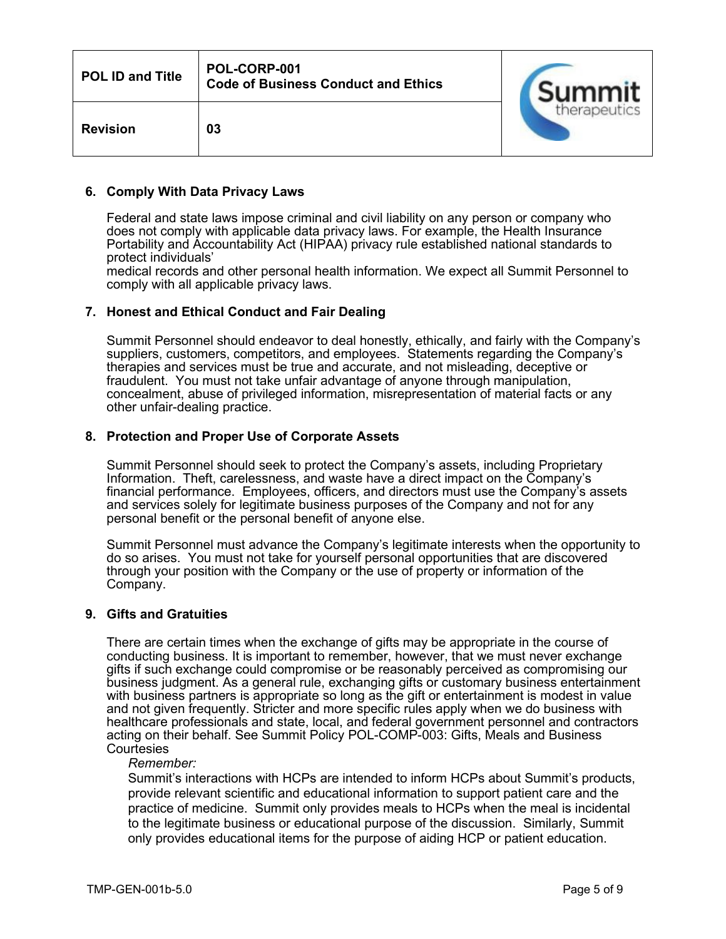| <b>POL ID and Title</b> | POL-CORP-001<br><b>Code of Business Conduct and Ethics</b> | Summit       |
|-------------------------|------------------------------------------------------------|--------------|
| <b>Revision</b>         | 03                                                         | therapeutics |

### **6. Comply With Data Privacy Laws**

Federal and state laws impose criminal and civil liability on any person or company who does not comply with applicable data privacy laws. For example, the Health Insurance Portability and Accountability Act (HIPAA) privacy rule established national standards to protect individuals'

medical records and other personal health information. We expect all Summit Personnel to comply with all applicable privacy laws.

### **7. Honest and Ethical Conduct and Fair Dealing**

Summit Personnel should endeavor to deal honestly, ethically, and fairly with the Company's suppliers, customers, competitors, and employees. Statements regarding the Company's therapies and services must be true and accurate, and not misleading, deceptive or fraudulent. You must not take unfair advantage of anyone through manipulation, concealment, abuse of privileged information, misrepresentation of material facts or any other unfair-dealing practice.

### **8. Protection and Proper Use of Corporate Assets**

Summit Personnel should seek to protect the Company's assets, including Proprietary Information. Theft, carelessness, and waste have a direct impact on the Company's financial performance. Employees, officers, and directors must use the Company's assets and services solely for legitimate business purposes of the Company and not for any personal benefit or the personal benefit of anyone else.

Summit Personnel must advance the Company's legitimate interests when the opportunity to do so arises. You must not take for yourself personal opportunities that are discovered through your position with the Company or the use of property or information of the Company.

#### **9. Gifts and Gratuities**

There are certain times when the exchange of gifts may be appropriate in the course of conducting business. It is important to remember, however, that we must never exchange gifts if such exchange could compromise or be reasonably perceived as compromising our business judgment. As a general rule, exchanging gifts or customary business entertainment with business partners is appropriate so long as the gift or entertainment is modest in value and not given frequently. Stricter and more specific rules apply when we do business with healthcare professionals and state, local, and federal government personnel and contractors acting on their behalf. See Summit Policy POL-COMP-003: Gifts, Meals and Business **Courtesies** 

#### *Remember:*

Summit's interactions with HCPs are intended to inform HCPs about Summit's products, provide relevant scientific and educational information to support patient care and the practice of medicine. Summit only provides meals to HCPs when the meal is incidental to the legitimate business or educational purpose of the discussion. Similarly, Summit only provides educational items for the purpose of aiding HCP or patient education.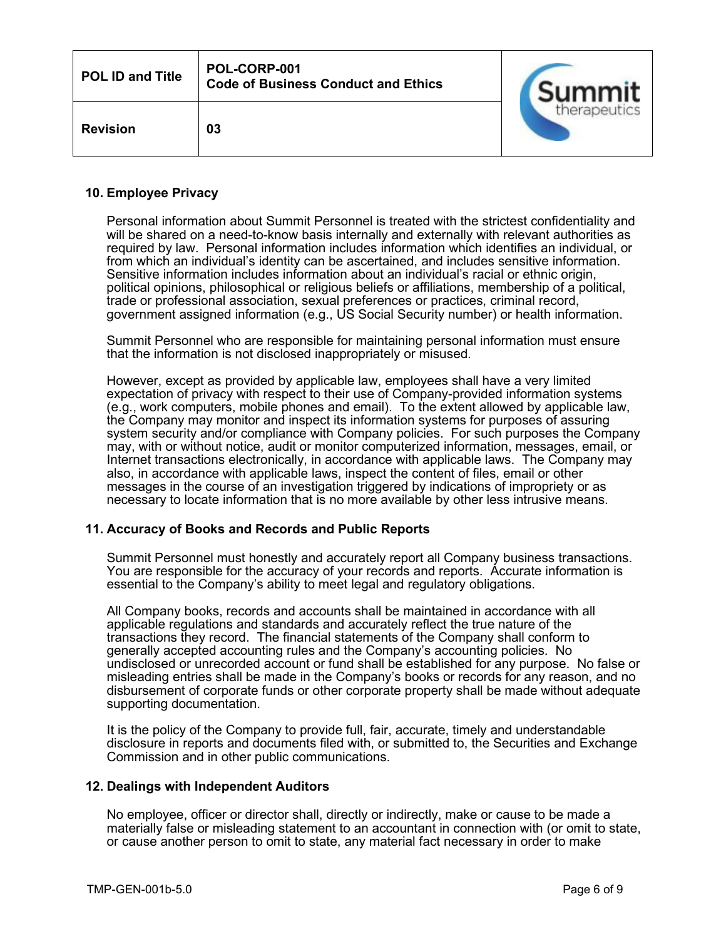| <b>POL ID and Title</b> | POL-CORP-001<br><b>Code of Business Conduct and Ethics</b> | Summit       |
|-------------------------|------------------------------------------------------------|--------------|
| <b>Revision</b>         | 03                                                         | therapeutics |

## **10. Employee Privacy**

Personal information about Summit Personnel is treated with the strictest confidentiality and will be shared on a need-to-know basis internally and externally with relevant authorities as required by law. Personal information includes information which identifies an individual, or from which an individual's identity can be ascertained, and includes sensitive information. Sensitive information includes information about an individual's racial or ethnic origin, political opinions, philosophical or religious beliefs or affiliations, membership of a political, trade or professional association, sexual preferences or practices, criminal record, government assigned information (e.g., US Social Security number) or health information.

Summit Personnel who are responsible for maintaining personal information must ensure that the information is not disclosed inappropriately or misused.

However, except as provided by applicable law, employees shall have a very limited expectation of privacy with respect to their use of Company-provided information systems (e.g., work computers, mobile phones and email). To the extent allowed by applicable law, the Company may monitor and inspect its information systems for purposes of assuring system security and/or compliance with Company policies. For such purposes the Company may, with or without notice, audit or monitor computerized information, messages, email, or Internet transactions electronically, in accordance with applicable laws. The Company may also, in accordance with applicable laws, inspect the content of files, email or other messages in the course of an investigation triggered by indications of impropriety or as necessary to locate information that is no more available by other less intrusive means.

## **11. Accuracy of Books and Records and Public Reports**

Summit Personnel must honestly and accurately report all Company business transactions. You are responsible for the accuracy of your records and reports. Accurate information is essential to the Company's ability to meet legal and regulatory obligations.

All Company books, records and accounts shall be maintained in accordance with all applicable regulations and standards and accurately reflect the true nature of the transactions they record. The financial statements of the Company shall conform to generally accepted accounting rules and the Company's accounting policies. No undisclosed or unrecorded account or fund shall be established for any purpose. No false or misleading entries shall be made in the Company's books or records for any reason, and no disbursement of corporate funds or other corporate property shall be made without adequate supporting documentation.

It is the policy of the Company to provide full, fair, accurate, timely and understandable disclosure in reports and documents filed with, or submitted to, the Securities and Exchange Commission and in other public communications.

#### **12. Dealings with Independent Auditors**

No employee, officer or director shall, directly or indirectly, make or cause to be made a materially false or misleading statement to an accountant in connection with (or omit to state, or cause another person to omit to state, any material fact necessary in order to make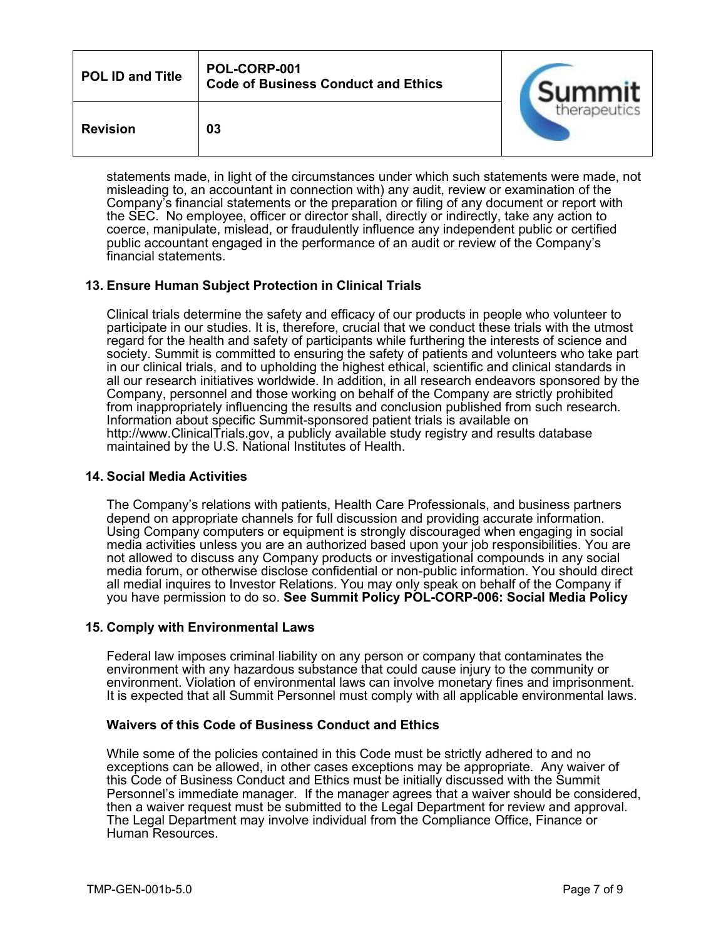| <b>POL ID and Title</b> | POL-CORP-001<br><b>Code of Business Conduct and Ethics</b> | Summit       |
|-------------------------|------------------------------------------------------------|--------------|
| <b>Revision</b>         | 03                                                         | therapeutics |

statements made, in light of the circumstances under which such statements were made, not misleading to, an accountant in connection with) any audit, review or examination of the Company's financial statements or the preparation or filing of any document or report with the SEC. No employee, officer or director shall, directly or indirectly, take any action to coerce, manipulate, mislead, or fraudulently influence any independent public or certified public accountant engaged in the performance of an audit or review of the Company's financial statements.

## **13. Ensure Human Subject Protection in Clinical Trials**

Clinical trials determine the safety and efficacy of our products in people who volunteer to participate in our studies. It is, therefore, crucial that we conduct these trials with the utmost regard for the health and safety of participants while furthering the interests of science and society. Summit is committed to ensuring the safety of patients and volunteers who take part in our clinical trials, and to upholding the highest ethical, scientific and clinical standards in all our research initiatives worldwide. In addition, in all research endeavors sponsored by the Company, personnel and those working on behalf of the Company are strictly prohibited from inappropriately influencing the results and conclusion published from such research. Information about specific Summit-sponsored patient trials is available on [http://www.ClinicalTrials.gov,](http://www.clinicaltrials.gov/) a publicly available study registry and results database maintained by the U.S. National Institutes of Health.

## **14. Social Media Activities**

The Company's relations with patients, Health Care Professionals, and business partners depend on appropriate channels for full discussion and providing accurate information. Using Company computers or equipment is strongly discouraged when engaging in social media activities unless you are an authorized based upon your job responsibilities. You are not allowed to discuss any Company products or investigational compounds in any social media forum, or otherwise disclose confidential or non-public information. You should direct all medial inquires to Investor Relations. You may only speak on behalf of the Company if you have permission to do so. **See Summit Policy POL-CORP-006: Social Media Policy**

## **15. Comply with Environmental Laws**

Federal law imposes criminal liability on any person or company that contaminates the environment with any hazardous substance that could cause injury to the community or environment. Violation of environmental laws can involve monetary fines and imprisonment. It is expected that all Summit Personnel must comply with all applicable environmental laws.

## **Waivers of this Code of Business Conduct and Ethics**

While some of the policies contained in this Code must be strictly adhered to and no exceptions can be allowed, in other cases exceptions may be appropriate. Any waiver of this Code of Business Conduct and Ethics must be initially discussed with the Summit Personnel's immediate manager. If the manager agrees that a waiver should be considered, then a waiver request must be submitted to the Legal Department for review and approval. The Legal Department may involve individual from the Compliance Office, Finance or Human Resources.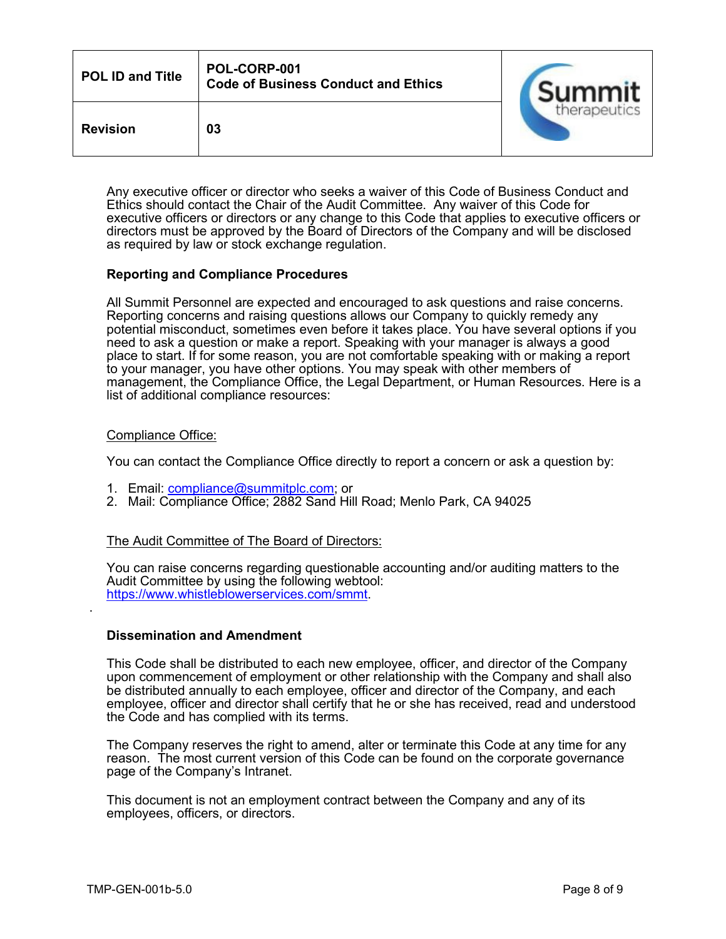| <b>POL ID and Title</b> | POL-CORP-001<br><b>Code of Business Conduct and Ethics</b> | Summit       |
|-------------------------|------------------------------------------------------------|--------------|
| <b>Revision</b>         | 03                                                         | therapeutics |

Any executive officer or director who seeks a waiver of this Code of Business Conduct and Ethics should contact the Chair of the Audit Committee. Any waiver of this Code for executive officers or directors or any change to this Code that applies to executive officers or directors must be approved by the Board of Directors of the Company and will be disclosed as required by law or stock exchange regulation.

## **Reporting and Compliance Procedures**

All Summit Personnel are expected and encouraged to ask questions and raise concerns. Reporting concerns and raising questions allows our Company to quickly remedy any potential misconduct, sometimes even before it takes place. You have several options if you need to ask a question or make a report. Speaking with your manager is always a good place to start. If for some reason, you are not comfortable speaking with or making a report to your manager, you have other options. You may speak with other members of management, the Compliance Office, the Legal Department, or Human Resources. Here is a list of additional compliance resources:

### Compliance Office:

You can contact the Compliance Office directly to report a concern or ask a question by:

- 1. Email: [compliance@summitplc.com;](mailto:complianceofficer@summitplc.com) or
- 2. Mail: Compliance Office; 2882 Sand Hill Road; Menlo Park, CA 94025

## The Audit Committee of The Board of Directors:

You can raise concerns regarding questionable accounting and/or auditing matters to the Audit Committee by using the following webtool: [https://www.whistleblowerservices.com/smmt.](https://www.whistleblowerservices.com/smmt)

## **Dissemination and Amendment**

This Code shall be distributed to each new employee, officer, and director of the Company upon commencement of employment or other relationship with the Company and shall also be distributed annually to each employee, officer and director of the Company, and each employee, officer and director shall certify that he or she has received, read and understood the Code and has complied with its terms.

The Company reserves the right to amend, alter or terminate this Code at any time for any reason. The most current version of this Code can be found on the corporate governance page of the Company's Intranet.

This document is not an employment contract between the Company and any of its employees, officers, or directors.

.